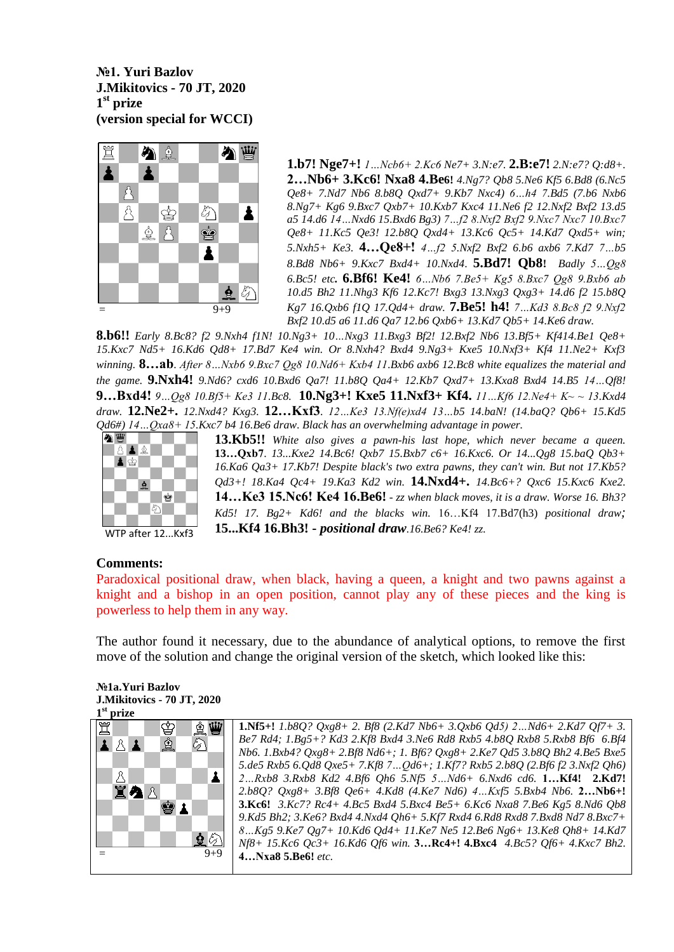## **№1. Yuri Bazlov J.Mikitovics - 70 JT, 2020 1 st prize (version special for WCCI)**



**1.b7! Nge7+!** *1…Ncb6+ 2.Kc6 Ne7+ 3.N:e7.* **2.B:e7!** *2.N:e7? Q:d8+.* **2…Nb6+ 3.Kc6! Nxa8 4.Be6!** *4.Ng7? Qb8 5.Ne6 Kf5 6.Bd8 (6.Nc5 Qe8+ 7.Nd7 Nb6 8.b8Q Qxd7+ 9.Kb7 Nxc4) 6…h4 7.Bd5 (7.b6 Nxb6 8.Ng7+ Kg6 9.Bxc7 Qxb7+ 10.Kxb7 Kxc4 11.Ne6 f2 12.Nxf2 Bxf2 13.d5 a5 14.d6 14…Nxd6 15.Bxd6 Bg3) 7…f2 8.Nxf2 Bxf2 9.Nxc7 Nxc7 10.Bxc7 Qe8+ 11.Kc5 Qe3! 12.b8Q Qxd4+ 13.Kc6 Qc5+ 14.Kd7 Qxd5+ win; 5.Nxh5+ Ke3.* **4…Qe8+!** *4…f2 5.Nxf2 Bxf2 6.b6 axb6 7.Kd7 7…b5 8.Bd8 Nb6+ 9.Kxc7 Bxd4+ 10.Nxd4*. **5.Bd7! Qb8!** *Badly 5…Qg8 6.Bc5! etc.* **6.Bf6! Ke4!** *6…Nb6 7.Be5+ Kg5 8.Bxc7 Qg8 9.Bxb6 ab 10.d5 Bh2 11.Nhg3 Kf6 12.Kc7! Bxg3 13.Nxg3 Qxg3+ 14.d6 f2 15.b8Q Kg7 16.Qxb6 f1Q 17.Qd4+ draw.* **7.Be5! h4!** *7…Kd3 8.Bc8 f2 9.Nxf2 Bxf2 10.d5 a6 11.d6 Qa7 12.b6 Qxb6+ 13.Kd7 Qb5+ 14.Ke6 draw.*

**8.b6!!** *Early 8.Bc8? f2 9.Nxh4 f1N! 10.Ng3+ 10…Nxg3 11.Bxg3 Bf2! 12.Bxf2 Nb6 13.Bf5+ Kf414.Be1 Qe8+ 15.Kxc7 Nd5+ 16.Kd6 Qd8+ 17.Bd7 Ke4 win. Or 8.Nxh4? Bxd4 9.Ng3+ Kxe5 10.Nxf3+ Kf4 11.Ne2+ Kxf3 winning.* **8…ab**. *After 8…Nxb6 9.Bxc7 Qg8 10.Nd6+ Kxb4 11.Bxb6 axb6 12.Bc8 white equalizes the material and the game.* **9.Nxh4!** *9.Nd6? cxd6 10.Bxd6 Qa7! 11.b8Q Qa4+ 12.Kb7 Qxd7+ 13.Kxa8 Bxd4 14.B5 14…Qf8!*  **9…Bxd4!** *9…Qg8 10.Bf5+ Ke3 11.Bc8.* **10.Ng3+! Kxe5 11.Nxf3+ Kf4.** *11…Kf6 12.Ne4+ K~ ~ 13.Kxd4 draw.* **12.Ne2+.** *12.Nxd4? Kxg3.* **12…Kxf3**. *12…Ke3 13.Nf(e)xd4 13…b5 14.baN! (14.baQ? Qb6+ 15.Kd5 Qd6#) 14…Qxa8+ 15.Kxc7 b4 16.Be6 draw*. *Black has an overwhelming advantage in power.*



WTP after 12...Kxf3

## **13.Kb5!!** *White also gives a pawn-his last hope, which never became a queen.* **13…Qxb7**. *13...Kxe2 14.Bc6! Qxb7 15.Bxb7 c6+ 16.Kxc6. Or 14...Qg8 15.baQ Qb3+ 16.Ka6 Qa3+ 17.Kb7! Despite black's two extra pawns, they can't win. But not 17.Kb5? Qd3+! 18.Ka4 Qc4+ 19.Ka3 Kd2 win.* **14.Nxd4+.** *14.Bc6+? Qxc6 15.Kxc6 Kxe2.* **14…Ke3 15.Nc6! Ke4 16.Be6!** *- zz when black moves, it is a draw. Worse 16. Bh3? Kd5! 17. Bg2+ Kd6! and the blacks win.* 16…Kf4 17.Bd7(h3) *positional draw;* **15...Kf4 16.Bh3! -** *positional draw.16.Be6? Ke4! zz.*

# **Comments:**

Paradoxical positional draw, when black, having a queen, a knight and two pawns against a knight and a bishop in an open position, cannot play any of these pieces and the king is powerless to help them in any way.

The author found it necessary, due to the abundance of analytical options, to remove the first move of the solution and change the original version of the sketch, which looked like this:

### **№1a.Yuri Bazlov J.Mikitovics - 70 JT, 2020 1 st prize**



**1.Nf5+!** *1.b8Q? Qxg8+ 2. Bf8 (2.Kd7 Nb6+ 3.Qxb6 Qd5) 2…Nd6+ 2.Kd7 Qf7+ 3. Be7 Rd4; 1.Bg5+? Kd3 2.Kf8 Bxd4 3.Ne6 Rd8 Rxb5 4.b8Q Rxb8 5.Rxb8 Bf6 6.Bf4 Nb6. 1.Bxb4? Qxg8+ 2.Bf8 Nd6+; 1. Bf6? Qxg8+ 2.Ke7 Qd5 3.b8Q Bh2 4.Be5 Bxe5 5.de5 Rxb5 6.Qd8 Qxe5+ 7.Kf8 7…Qd6+; 1.Kf7? Rxb5 2.b8Q (2.Bf6 f2 3.Nxf2 Qh6) 2…Rxb8 3.Rxb8 Kd2 4.Bf6 Qh6 5.Nf5 5…Nd6+ 6.Nxd6 cd6.* **1…Kf4! 2.Kd7!** *2.b8Q? Qxg8+ 3.Bf8 Qe6+ 4.Kd8 (4.Ke7 Nd6) 4…Kxf5 5.Bxb4 Nb6.* **2…Nb6+! 3.Kc6!** *3.Kc7? Rc4+ 4.Bc5 Bxd4 5.Bxc4 Be5+ 6.Kc6 Nxa8 7.Be6 Kg5 8.Nd6 Qb8 9.Kd5 Bh2; 3.Ke6? Bxd4 4.Nxd4 Qh6+ 5.Kf7 Rxd4 6.Rd8 Rxd8 7.Bxd8 Nd7 8.Bxc7+ 8…Kg5 9.Ke7 Qg7+ 10.Kd6 Qd4+ 11.Ke7 Ne5 12.Be6 Ng6+ 13.Ke8 Qh8+ 14.Kd7 Nf8+ 15.Kc6 Qc3+ 16.Kd6 Qf6 win.* **3…Rc4+! 4.Bxc4** *4.Bc5? Qf6+ 4.Kxc7 Bh2.* **4…Nxa8 5.Be6!** *etc.*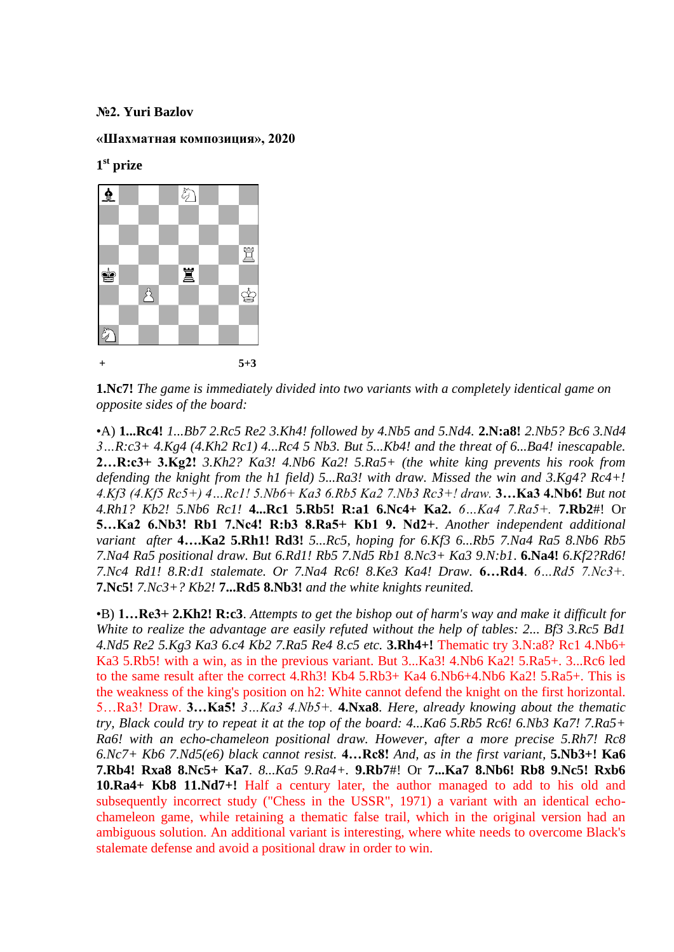## **№2. Yuri Bazlov**

## **«Шахматная композиция», 2020**

**1 st prize** 



**1.Nc7!** *The game is immediately divided into two variants with a completely identical game on opposite sides of the board:* 

•A) **1...Rc4!** *1...Bb7 2.Rc5 Re2 3.Kh4! followed by 4.Nb5 and 5.Nd4.* **2.N:a8!** *2.Nb5? Bc6 3.Nd4 3…R:c3+ 4.Kg4 (4.Kh2 Rc1) 4...Rc4 5 Nb3. But 5...Kb4! and the threat of 6...Ba4! inescapable.* **2…R:c3+ 3.Kg2!** *3.Kh2? Ka3! 4.Nb6 Ka2! 5.Ra5+ (the white king prevents his rook from defending the knight from the h1 field) 5...Ra3! with draw. Missed the win and 3.Kg4? Rc4+! 4.Kf3 (4.Kf5 Rc5+) 4…Rc1! 5.Nb6+ Ka3 6.Rb5 Ka2 7.Nb3 Rc3+! draw.* **3…Ka3 4.Nb6!** *But not 4.Rh1? Kb2! 5.Nb6 Rc1!* **4...Rc1 5.Rb5! R:a1 6.Nc4+ Ka2.** *6…Ka4 7.Ra5+.* **7.Rb2**#! Or **5…Ka2 6.Nb3! Rb1 7.Nc4! R:b3 8.Ra5+ Kb1 9. Nd2+**. *Another independent additional variant after* **4….Ka2 5.Rh1! Rd3!** *5...Rc5, hoping for 6.Kf3 6...Rb5 7.Na4 Ra5 8.Nb6 Rb5 7.Na4 Ra5 positional draw. But 6.Rd1! Rb5 7.Nd5 Rb1 8.Nc3+ Ka3 9.N:b1*. **6.Na4!** *6.Kf2?Rd6! 7.Nc4 Rd1! 8.R:d1 stalemate. Or 7.Na4 Rc6! 8.Ke3 Ka4! Draw.* **6…Rd4**. *6…Rd5 7.Nc3+.* **7.Nc5!** *7.Nc3+? Kb2!* **7...Rd5 8.Nb3!** *and the white knights reunited.*

•B) **1…Re3+ 2.Kh2! R:c3**. *Attempts to get the bishop out of harm's way and make it difficult for White to realize the advantage are easily refuted without the help of tables: 2... Bf3 3.Rc5 Bd1 4.Nd5 Re2 5.Kg3 Ka3 6.c4 Kb2 7.Ra5 Re4 8.c5 etc.* **3.Rh4+!** Thematic try 3.N:a8? Rc1 4.Nb6+ Ka3 5.Rb5! with a win, as in the previous variant. But 3...Ka3! 4.Nb6 Ka2! 5.Ra5+. 3...Rc6 led to the same result after the correct 4.Rh3! Kb4 5.Rb3+ Ka4 6.Nb6+4.Nb6 Ka2! 5.Ra5+. This is the weakness of the king's position on h2: White cannot defend the knight on the first horizontal. 5…Ra3! Draw. **3…Ka5!** *3…Ka3 4.Nb5+.* **4.Nxa8**. *Here, already knowing about the thematic try, Black could try to repeat it at the top of the board: 4...Ka6 5.Rb5 Rc6! 6.Nb3 Ka7! 7.Ra5+ Ra6! with an echo-chameleon positional draw. However, after a more precise 5.Rh7! Rc8 6.Nc7+ Kb6 7.Nd5(e6) black cannot resist.* **4…Rc8!** *And, as in the first variant,* **5.Nb3+! Ka6 7.Rb4! Rxa8 8.Nc5+ Ka7**. *8...Ka5 9.Ra4+.* **9.Rb7**#! Or **7...Ka7 8.Nb6! Rb8 9.Nc5! Rxb6 10.Ra4+ Kb8 11.Nd7+!** Half a century later, the author managed to add to his old and subsequently incorrect study ("Chess in the USSR", 1971) a variant with an identical echochameleon game, while retaining a thematic false trail, which in the original version had an ambiguous solution. An additional variant is interesting, where white needs to overcome Black's stalemate defense and avoid a positional draw in order to win.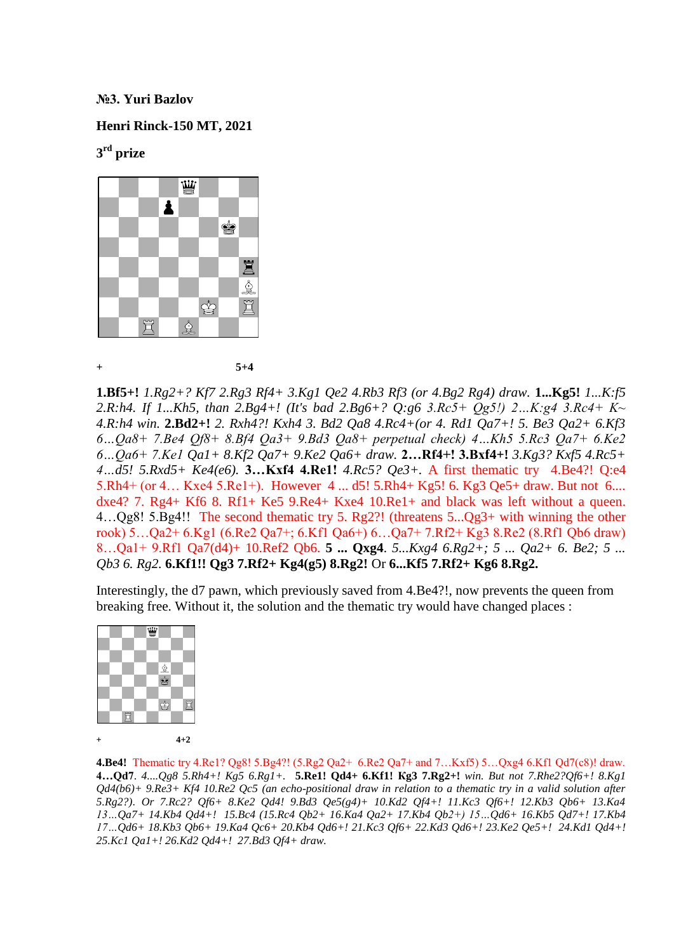### **№3. Yuri Bazlov**

### **Henri Rinck-150 MT, 2021**

# **3 rd prize**



**+ 5+4**

**1.Bf5+!** *1.Rg2+? Kf7 2.Rg3 Rf4+ 3.Kg1 Qe2 4.Rb3 Rf3 (or 4.Bg2 Rg4) draw.* **1...Kg5!** *1...K:f5 2.R:h4. If 1...Kh5, than 2.Bg4+! (It's bad 2.Bg6+? Q:g6 3.Rc5+ Qg5!) 2…K:g4 3.Rc4+ K~ 4.R:h4 win.* **2.Bd2+!** *2. Rxh4?! Kxh4 3. Bd2 Qa8 4.Rc4+(or 4. Rd1 Qa7+! 5. Be3 Qa2+ 6.Kf3 6…Qa8+ 7.Be4 Qf8+ 8.Bf4 Qa3+ 9.Bd3 Qa8+ perpetual check) 4…Kh5 5.Rc3 Qa7+ 6.Ke2 6…Qa6+ 7.Ke1 Qa1+ 8.Kf2 Qa7+ 9.Ke2 Qa6+ draw.* **2…Rf4+! 3.Bxf4+!** *3.Kg3? Kxf5 4.Rc5+ 4…d5! 5.Rxd5+ Ke4(e6).* **3…Kxf4 4.Re1!** *4.Rc5? Qe3+.* A first thematic try 4.Be4?! Q:e4 5.Rh4+ (or 4… Kxe4 5.Re1+). However 4 ... d5! 5.Rh4+ Kg5! 6. Kg3 Qe5+ draw. But not 6.... dxe4? 7. Rg4+ Kf6 8. Rf1+ Ke5 9.Re4+ Kxe4 10.Re1+ and black was left without a queen. 4…Qg8! 5.Bg4!! The second thematic try 5. Rg2?! (threatens 5...Qg3+ with winning the other rook) 5…Qa2+ 6.Kg1 (6.Re2 Qa7+; 6.Kf1 Qa6+) 6…Qa7+ 7.Rf2+ Kg3 8.Re2 (8.Rf1 Qb6 draw) 8…Qa1+ 9.Rf1 Qa7(d4)+ 10.Ref2 Qb6. **5 ... Qxg4**. *5...Kxg4 6.Rg2+; 5 ... Qa2+ 6. Be2; 5 ... Qb3 6. Rg2.* **6.Kf1!! Qg3 7.Rf2+ Kg4(g5) 8.Rg2!** Or **6...Kf5 7.Rf2+ Kg6 8.Rg2.** 

Interestingly, the d7 pawn, which previously saved from 4.Be4?!, now prevents the queen from breaking free. Without it, the solution and the thematic try would have changed places :



**4.Be4!** Thematic try 4.Re1? Qg8! 5.Bg4?! (5.Rg2 Qa2+ 6.Re2 Qa7+ and 7…Kxf5) 5…Qxg4 6.Kf1 Qd7(c8)! draw. **4…Qd7**. *4....Qg8 5.Rh4+! Kg5 6.Rg1+.* **5.Re1! Qd4+ 6.Kf1! Кg3 7.Rg2+!** *win. But not 7.Rhe2?Qf6+! 8.Kg1 Qd4(b6)+ 9.Re3+ Kf4 10.Re2 Qc5 (an echo-positional draw in relation to a thematic try in a valid solution after 5.Rg2?)*. *Or 7.Rc2? Qf6+ 8.Ke2 Qd4! 9.Bd3 Qe5(g4)+ 10.Kd2 Qf4+! 11.Kc3 Qf6+! 12.Kb3 Qb6+ 13.Ka4 13…Qa7+ 14.Kb4 Qd4+! 15.Bc4 (15.Rc4 Qb2+ 16.Ka4 Qa2+ 17.Kb4 Qb2+) 15…Qd6+ 16.Kb5 Qd7+! 17.Kb4 17…Qd6+ 18.Kb3 Qb6+ 19.Ka4 Qc6+ 20.Kb4 Qd6+! 21.Kc3 Qf6+ 22.Kd3 Qd6+! 23.Ke2 Qe5+! 24.Kd1 Qd4+! 25.Kc1 Qa1+! 26.Kd2 Qd4+! 27.Bd3 Qf4+ draw.*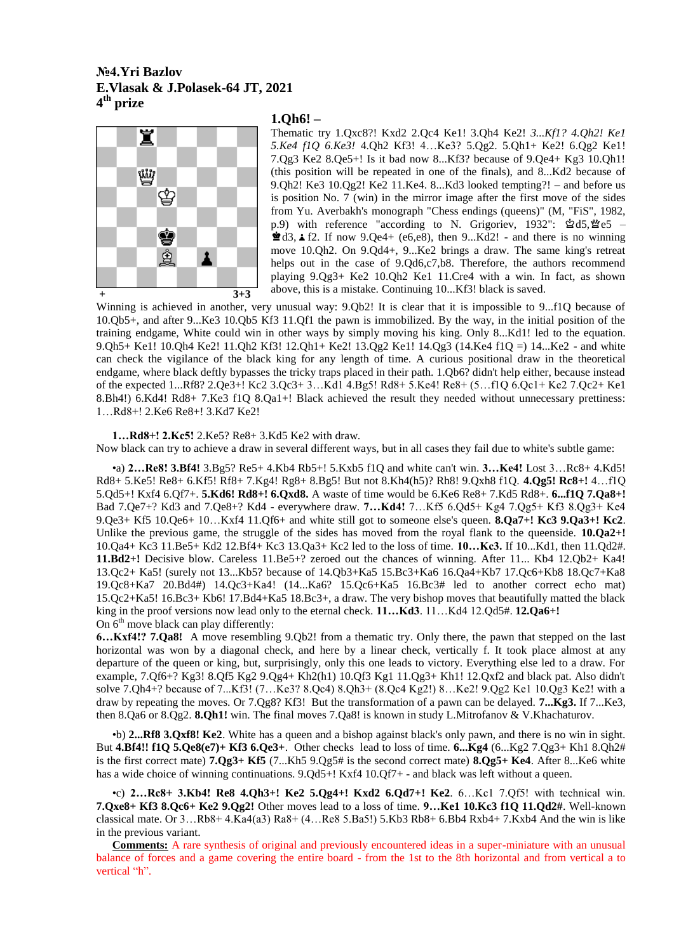## **№4.Yri Bazlov E.Vlasak & J.Polasek-64 JT, 2021 4 th prize**



### **1.Qh6! –**

Thematic try 1.Qxc8?! Kxd2 2.Qc4 Ke1! 3.Qh4 Ke2! *3...Kf1? 4.Qh2! Ke1 5.Ke4 f1Q 6.Ke3!* 4.Qh2 Kf3! 4…Ke3? 5.Qg2. 5.Qh1+ Ke2! 6.Qg2 Ke1! 7.Qg3 Ke2 8.Qe5+! Is it bad now 8...Kf3? because of 9.Qe4+ Kg3 10.Qh1! (this position will be repeated in one of the finals), and 8...Kd2 because of 9.Qh2! Ke3 10.Qg2! Ke2 11.Ke4. 8...Kd3 looked tempting?! – and before us is position No. 7 (win) in the mirror image after the first move of the sides from Yu. Averbakh's monograph "Chess endings (queens)" (M, "FiS", 1982, p.9) with reference "according to N. Grigoriev,  $1932$ ":  $\trianglelefteq d5$ ,  $\trianglelefteq$  e5 –  $\triangle$ d3,  $\angle$  f2. If now 9.Qe4+ (e6,e8), then 9...Kd2! - and there is no winning move 10.Qh2. On 9.Qd4+, 9...Ke2 brings a draw. The same king's retreat helps out in the case of 9.0d6,c7,b8. Therefore, the authors recommend playing 9.Qg3+ Ke2 10.Qh2 Ke1 11.Cre4 with a win. In fact, as shown above, this is a mistake. Continuing 10...Kf3! black is saved.

Winning is achieved in another, very unusual way:  $9.0b2!$  It is clear that it is impossible to  $9...f1Q$  because of 10.Qb5+, and after 9...Ke3 10.Qb5 Kf3 11.Qf1 the pawn is immobilized. By the way, in the initial position of the training endgame, White could win in other ways by simply moving his king. Only 8...Kd1! led to the equation. 9.Qh5+ Ke1! 10.Qh4 Ke2! 11.Qh2 Kf3! 12.Qh1+ Ke2! 13.Qg2 Ke1! 14.Qg3 (14.Ke4 f1Q =) 14...Ke2 - and white can check the vigilance of the black king for any length of time. A curious positional draw in the theoretical endgame, where black deftly bypasses the tricky traps placed in their path. 1.Qb6? didn't help either, because instead of the expected 1...Rf8? 2.Qe3+! Kc2 3.Qc3+ 3…Kd1 4.Bg5! Rd8+ 5.Ke4! Re8+ (5…f1Q 6.Qc1+ Ke2 7.Qc2+ Ke1 8.Bh4!) 6.Kd4! Rd8+ 7.Ke3 f1Q 8.Qa1+! Black achieved the result they needed without unnecessary prettiness: 1…Rd8+! 2.Ke6 Re8+! 3.Kd7 Ke2!

#### **1…Rd8+! 2.Kc5!** 2.Ke5? Re8+ 3.Kd5 Ke2 with draw.

Now black can try to achieve a draw in several different ways, but in all cases they fail due to white's subtle game:

•a) **2…Re8! 3.Bf4!** 3.Bg5? Re5+ 4.Kb4 Rb5+! 5.Kxb5 f1Q and white can't win. **3…Ke4!** Lost 3…Rc8+ 4.Kd5! Rd8+ 5.Ke5! Re8+ 6.Kf5! Rf8+ 7.Kg4! Rg8+ 8.Bg5! But not 8.Kh4(h5)? Rh8! 9.Qxh8 f1Q. **4.Qg5! Rc8+!** 4…f1Q 5.Qd5+! Kxf4 6.Qf7+. **5.Kd6! Rd8+! 6.Qxd8.** A waste of time would be 6.Ke6 Re8+ 7.Kd5 Rd8+. **6...f1Q 7.Qa8+!** Bad 7.Qe7+? Kd3 and 7.Qe8+? Kd4 - everywhere draw. **7…Kd4!** 7…Kf5 6.Qd5+ Kg4 7.Qg5+ Kf3 8.Qg3+ Ke4 9.Qe3+ Kf5 10.Qe6+ 10…Kxf4 11.Qf6+ and white still got to someone else's queen. **8.Qa7+! Kc3 9.Qa3+! Kc2**. Unlike the previous game, the struggle of the sides has moved from the royal flank to the queenside. **10.Qa2+!** 10.Qa4+ Kc3 11.Be5+ Kd2 12.Bf4+ Kc3 13.Qa3+ Kc2 led to the loss of time. **10…Kc3.** If 10...Kd1, then 11.Qd2#. **11.Bd2+!** Decisive blow. Careless 11.Be5+? zeroed out the chances of winning. After 11... Kb4 12.Qb2+ Ka4! 13.Qc2+ Ka5! (surely not 13...Kb5? because of 14.Qb3+Ka5 15.Bc3+Ka6 16.Qa4+Kb7 17.Qc6+Kb8 18.Qc7+Ka8 19.Qc8+Ka7 20.Bd4#) 14.Qc3+Ka4! (14...Ka6? 15.Qc6+Ka5 16.Bc3# led to another correct echo mat) 15.Qc2+Ka5! 16.Bc3+ Kb6! 17.Bd4+Ka5 18.Bc3+, a draw. The very bishop moves that beautifully matted the black king in the proof versions now lead only to the eternal check. **11…Kd3**. 11…Kd4 12.Qd5#. **12.Qa6+!** On  $6<sup>th</sup>$  move black can play differently:

**6…Kxf4!? 7.Qa8!** A move resembling 9.Qb2! from a thematic try. Only there, the pawn that stepped on the last horizontal was won by a diagonal check, and here by a linear check, vertically f. It took place almost at any departure of the queen or king, but, surprisingly, only this one leads to victory. Everything else led to a draw. For example, 7. $Of6+$ ? Kg3! 8. $Of5$  Kg2 9. $Og4$ + Kh2(h1) 10. $Of3$  Kg1 11. $Og3$ + Kh1! 12. $Oxf2$  and black pat. Also didn't solve 7.Qh4+? because of 7...Kf3! (7…Ke3? 8.Qc4) 8.Qh3+ (8.Qc4 Kg2!) 8…Ke2! 9.Qg2 Ke1 10.Qg3 Ke2! with a draw by repeating the moves. Or 7.Qg8? Kf3! But the transformation of a pawn can be delayed. **7...Kg3.** If 7...Ke3, then 8.Qa6 or 8.Qg2. **8.Qh1!** win. The final moves 7.Qa8! is known in study L.Mitrofanov & V.Khachaturov.

•b) **2...Rf8 3.Qxf8! Ke2**. White has a queen and a bishop against black's only pawn, and there is no win in sight. But **4.Bf4!! f1Q 5.Qe8(e7)+ Kf3 6.Qe3+**. Other checks lead to loss of time. **6...Kg4** (6...Kg2 7.Qg3+ Kh1 8.Qh2# is the first correct mate) **7.Qg3+ Kf5** (7...Kh5 9.Qg5# is the second correct mate) **8.Qg5+ Ke4**. After 8...Ke6 white has a wide choice of winning continuations.  $9.0d5+$ ! Kxf4 10.0f7+ - and black was left without a queen.

•c) **2…Rc8+ 3.Kb4! Re8 4.Qh3+! Ke2 5.Qg4+! Kxd2 6.Qd7+! Ke2**. 6…Kc1 7.Qf5! with technical win. **7.Qxe8+ Kf3 8.Qc6+ Ke2 9.Qg2!** Other moves lead to a loss of time. **9…Ke1 10.Kc3 f1Q 11.Qd2#**. Well-known classical mate. Or  $3...Rb8+4.Ka4(a3) Ra8+(4...Re8 5.Ba5!) 5.Kb3 Rb8+6.Bb4 Rxb4+7.Kxb4 And the win is like$ in the previous variant.

**Comments:** A rare synthesis of original and previously encountered ideas in a super-miniature with an unusual balance of forces and a game covering the entire board - from the 1st to the 8th horizontal and from vertical a to vertical "h".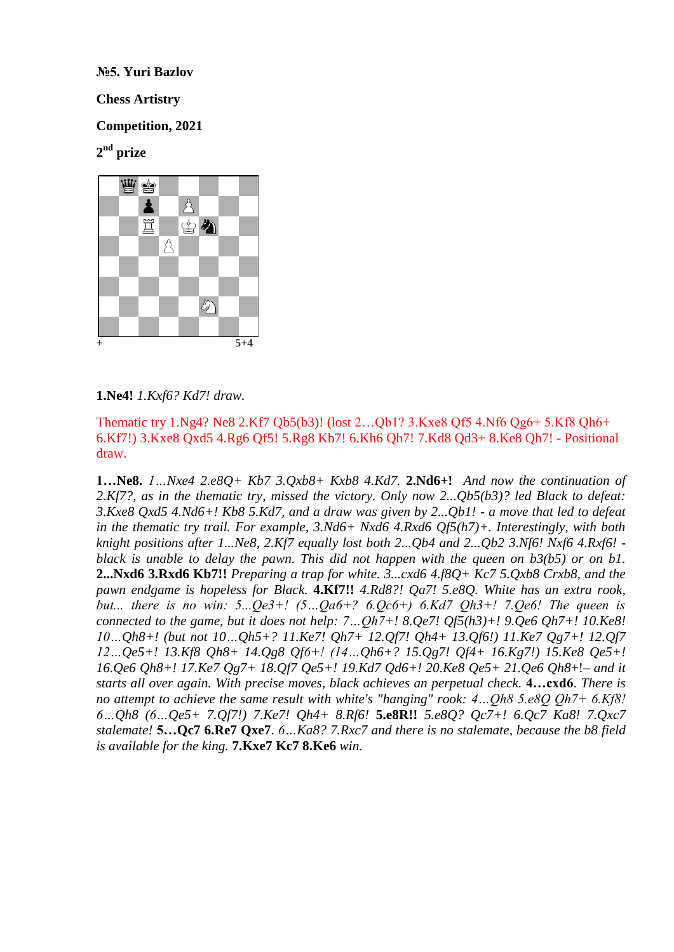**№5. Yuri Bazlov**

**Chess Artistry**

**Competition, 2021** 

# **2 nd prize**



## **1.Ne4!** *1.Kxf6? Kd7! draw.*

Thematic try 1.Ng4? Ne8 2.Kf7 Qb5(b3)! (lost 2…Qb1? 3.Kxe8 Qf5 4.Nf6 Qg6+ 5.Kf8 Qh6+ 6.Kf7!) 3.Kxe8 Qxd5 4.Rg6 Qf5! 5.Rg8 Kb7! 6.Kh6 Qh7! 7.Kd8 Qd3+ 8.Ke8 Qh7! - Positional draw.

**1…Ne8.** *1…Nxe4 2.e8Q+ Kb7 3.Qxb8+ Kxb8 4.Kd7.* **2.Nd6+!** *And now the continuation of 2.Kf7?, as in the thematic try, missed the victory. Only now 2...Qb5(b3)? led Black to defeat: 3.Kxe8 Qxd5 4.Nd6+! Kb8 5.Kd7, and a draw was given by 2...Qb1! - a move that led to defeat in the thematic try trail. For example, 3.Nd6+ Nxd6 4.Rxd6 Qf5(h7)+. Interestingly, with both knight positions after 1...Ne8, 2.Kf7 equally lost both 2...Qb4 and 2...Qb2 3.Nf6! Nxf6 4.Rxf6! black is unable to delay the pawn. This did not happen with the queen on b3(b5) or on b1.* **2...Nxd6 3.Rxd6 Kb7!!** *Preparing a trap for white. 3...cxd6 4.f8Q+ Kc7 5.Qxb8 Crxb8, and the pawn endgame is hopeless for Black.* **4.Kf7!!** *4.Rd8?! Qa7! 5.e8Q. White has an extra rook, but... there is no win: 5...Qe3+! (5…Qa6+? 6.Qc6+) 6.Kd7 Qh3+! 7.Qe6! The queen is connected to the game, but it does not help: 7…Qh7+! 8.Qe7! Qf5(h3)+! 9.Qe6 Qh7+! 10.Ke8! 10…Qh8+! (but not 10…Qh5+? 11.Ke7! Qh7+ 12.Qf7! Qh4+ 13.Qf6!) 11.Ke7 Qg7+! 12.Qf7 12…Qe5+! 13.Kf8 Qh8+ 14.Qg8 Qf6+! (14…Qh6+? 15.Qg7! Qf4+ 16.Kg7!) 15.Ke8 Qe5+! 16.Qe6 Qh8+! 17.Ke7 Qg7+ 18.Qf7 Qe5+! 19.Kd7 Qd6+! 20.Ke8 Qe5+ 21.Qe6 Qh8*+!– *and it starts all over again. With precise moves, black achieves an perpetual check.* **4…cxd6**. *There is no attempt to achieve the same result with white's "hanging" rook: 4…Qh8 5.e8Q Qh7+ 6.Kf8! 6…Qh8 (6…Qe5+ 7.Qf7!) 7.Ke7! Qh4+ 8.Rf6!* **5.e8R!!** *5.e8Q? Qc7+! 6.Qc7 Ka8! 7.Qxc7 stalemate!* **5…Qc7 6.Re7 Qxe7**. *6…Ka8? 7.Rxc7 and there is no stalemate, because the b8 field is available for the king.* **7.Kxe7 Kc7 8.Ke6** *win.*